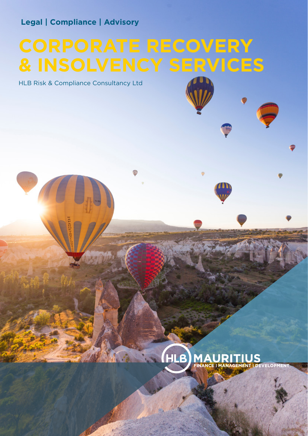# **Legal | Compliance | Advisory**

# **CORPORATE RECOVERY & INSOLVENCY SERVICES**

HLB Risk & Compliance Consultancy Ltd

# (HLB) **MAURITIUS**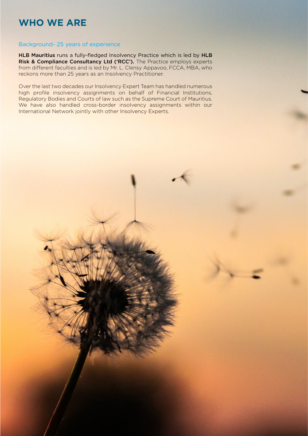# **WHO WE ARE**

# Background- 25 years of experience

HLB Mauritius runs a fully-fledged Insolvency Practice which is led by HLB Risk & Compliance Consultancy Ltd ('RCC'). The Practice employs experts from different faculties and is led by Mr. L. Clensy Appavoo, FCCA, MBA, who reckons more than 25 years as an Insolvency Practitioner.

Over the last two decades our Insolvency Expert Team has handled numerous high profile insolvency assignments on behalf of Financial Institutions, Regulatory Bodies and Courts of law such as the Supreme Court of Mauritius. We have also handled cross-border insolvency assignments within our International Network jointly with other Insolvency Experts.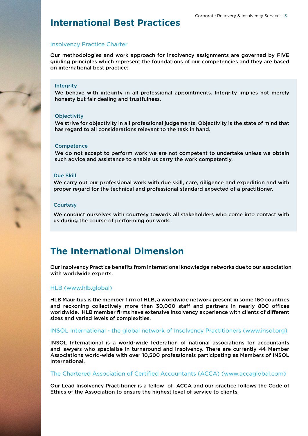# **International Best Practices**

# Insolvency Practice Charter

Our methodologies and work approach for insolvency assignments are governed by FIVE guiding principles which represent the foundations of our competencies and they are based on international best practice:

## Integrity

We behave with integrity in all professional appointments. Integrity implies not merely honesty but fair dealing and trustfulness.

#### **Objectivity**

We strive for objectivity in all professional judgements. Objectivity is the state of mind that has regard to all considerations relevant to the task in hand.

#### **Competence**

We do not accept to perform work we are not competent to undertake unless we obtain such advice and assistance to enable us carry the work competently.

#### Due Skill

We carry out our professional work with due skill, care, diligence and expedition and with proper regard for the technical and professional standard expected of a practitioner.

#### **Courtesy**

We conduct ourselves with courtesy towards all stakeholders who come into contact with us during the course of performing our work.

# **The International Dimension**

Our Insolvency Practice benefits from international knowledge networks due to our association with worldwide experts.

# HLB (www.hlb.global)

HLB Mauritius is the member firm of HLB, a worldwide network present in some 160 countries and reckoning collectively more than 30,000 staff and partners in nearly 800 offices worldwide. HLB member firms have extensive insolvency experience with clients of different sizes and varied levels of complexities.

# INSOL International - the global network of Insolvency Practitioners (www.insol.org)

INSOL International is a world-wide federation of national associations for accountants and lawyers who specialise in turnaround and insolvency. There are currently 44 Member Associations world-wide with over 10,500 professionals participating as Members of INSOL International.

### The Chartered Association of Certified Accountants (ACCA) (www.accaglobal.com)

Our Lead Insolvency Practitioner is a fellow of ACCA and our practice follows the Code of Ethics of the Association to ensure the highest level of service to clients.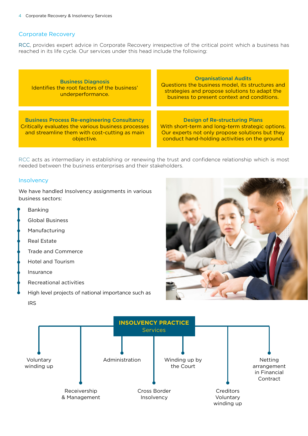# Corporate Recovery

RCC, provides expert advice in Corporate Recovery irrespective of the critical point which a business has reached in its life cycle. Our services under this head include the following:

Business Diagnosis Identifies the root factors of the business' underperformance. Business Process Re-engineering Consultancy Critically evaluates the various business processes and streamline them with cost-cutting as main objective. Organisational Audits Questions the business model, its structures and strategies and propose solutions to adapt the business to present context and conditions. Design of Re-structuring Plans With short-term and long-term strategic options. Our experts not only propose solutions but they conduct hand-holding activities on the ground.

RCC acts as intermediary in establishing or renewing the trust and confidence relationship which is most needed between the business enterprises and their stakeholders.

# **Insolvency**

We have handled Insolvency assignments in various business sectors:

- Banking
- Global Business
- Manufacturing
- Real Estate
- Trade and Commerce
- Hotel and Tourism
- Insurance
- Recreational activities
- High level projects of national importance such as IRS



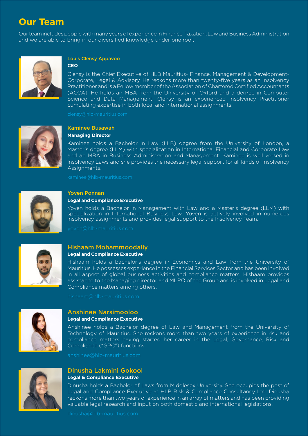# **Our Team**

Our team includes people with many years of experience in Finance, Taxation, Law and Business Administration and we are able to bring in our diversified knowledge under one roof.



# Louis Clensy Appavoo

#### **CEO**

Clensy is the Chief Executive of HLB Mauritius- Finance, Management & Development-Corporate, Legal & Advisory. He reckons more than twenty-five years as an Insolvency Practitioner and is a Fellow member of the Association of Chartered Certified Accountants (ACCA). He holds an MBA from the University of Oxford and a degree in Computer Science and Data Management. Clensy is an experienced Insolvency Practitioner cumulating expertise in both local and International assignments.



# Kaminee Busawah

# **Managing Director**

Kaminee holds a Bachelor in Law (LLB) degree from the University of London, a Master's degree (LLM) with specialization in International Financial and Corporate Law and an MBA in Business Administration and Management. Kaminee is well versed in Insolvency Laws and she provides the necessary legal support for all kinds of Insolvency Assignments.



# Yoven Ponnan

### **Legal and Compliance Executive**

Yoven holds a Bachelor in Management with Law and a Master's degree (LLM) with specialization in International Business Law. Yoven is actively involved in numerous insolvency assignments and provides legal support to the Insolvency Team.



# Hishaam Mohammoodally

# **Legal and Compliance Executive**

Hishaam holds a bachelor's degree in Economics and Law from the University of Mauritius. He possesses experience in the Financial Services Sector and has been involved in all aspect of global business activities and compliance matters. Hishaam provides assistance to the Managing director and MLRO of the Group and is involved in Legal and Compliance matters among others.



## Anshinee Narsimooloo **Legal and Compliance Executive**

Anshinee holds a Bachelor degree of Law and Management from the University of Technology of Mauritius. She reckons more than two years of experience in risk and compliance matters having started her career in the Legal, Governance, Risk and Compliance ("GRC") functions.



# Dinusha Lakmini Gokool **Legal & Compliance Executive**

Dinusha holds a Bachelor of Laws from Middlesex University. She occupies the post of Legal and Compliance Executive at HLB Risk & Compliance Consultancy Ltd. Dinusha reckons more than two years of experience in an array of matters and has been providing valuable legal research and input on both domestic and international legislations.